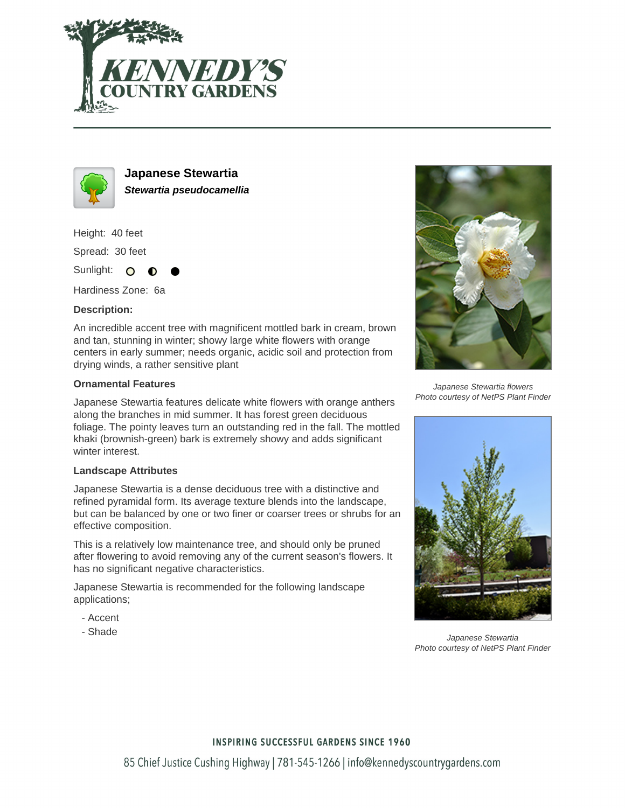



**Japanese Stewartia Stewartia pseudocamellia**

Height: 40 feet

Spread: 30 feet

Sunlight: O  $\bullet$ 

Hardiness Zone: 6a

## **Description:**

An incredible accent tree with magnificent mottled bark in cream, brown and tan, stunning in winter; showy large white flowers with orange centers in early summer; needs organic, acidic soil and protection from drying winds, a rather sensitive plant

## **Ornamental Features**

Japanese Stewartia features delicate white flowers with orange anthers along the branches in mid summer. It has forest green deciduous foliage. The pointy leaves turn an outstanding red in the fall. The mottled khaki (brownish-green) bark is extremely showy and adds significant winter interest.

#### **Landscape Attributes**

Japanese Stewartia is a dense deciduous tree with a distinctive and refined pyramidal form. Its average texture blends into the landscape, but can be balanced by one or two finer or coarser trees or shrubs for an effective composition.

This is a relatively low maintenance tree, and should only be pruned after flowering to avoid removing any of the current season's flowers. It has no significant negative characteristics.

Japanese Stewartia is recommended for the following landscape applications;

- Accent
- Shade



Japanese Stewartia flowers Photo courtesy of NetPS Plant Finder



Japanese Stewartia Photo courtesy of NetPS Plant Finder

## **INSPIRING SUCCESSFUL GARDENS SINCE 1960**